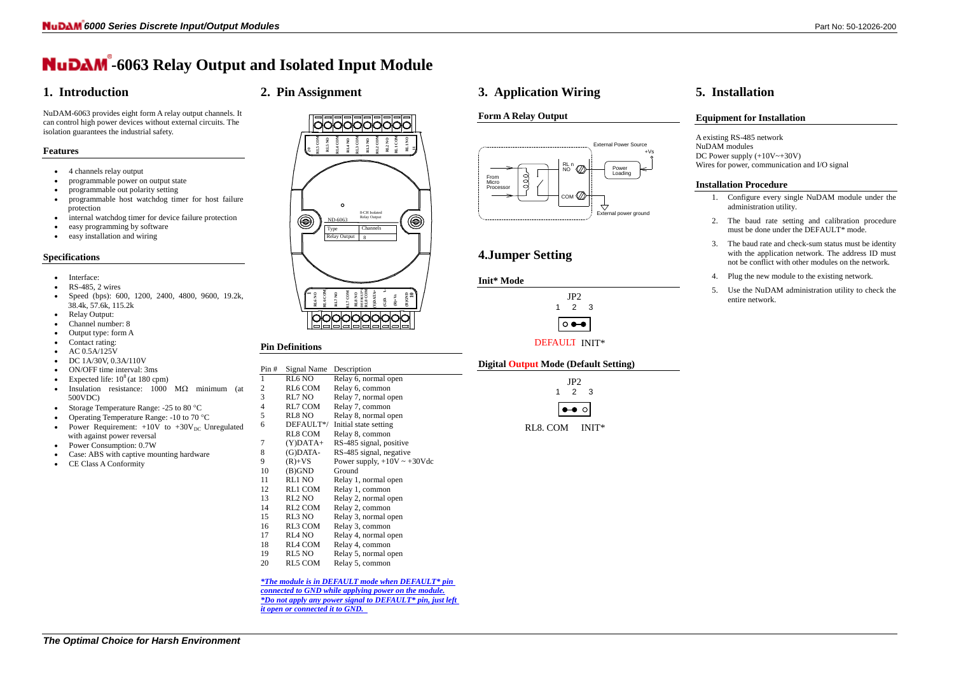

# **-6063 Relay Output and Isolated Input Module**

# **1. Introduction**

NuDAM-6063 provides eight form A relay output channels. It can control high power devices without external circuits. The

isolation guarantees the industrial safety.

## **Features**

• 4 channels relay output

- programmable power on output state
- programmable out polarity setting
- programmable host watchdog timer for host failure protection

- internal watchdog timer for device failure protection
- easy programming by software
- easy installation and wiring

- Interface:
- RS-485, 2 wires
- Speed (bps): 600, 1200, 2400, 4800, 9600, 19.2k, 38.4k, 57.6k, 115.2k
- Relay Output:
- Channel number: 8
- Output type: form A
- Contact rating:
- AC 0.5A/125V
- DC 1A/30V, 0.3A/110V
- ON/OFF time interval: 3ms
- Expected life:  $10^8$  (at 180 cpm)
- Insulation resistance:  $1000 \text{ M}\Omega$  minimum (at 500VDC)
- Storage Temperature Range:  $-25$  to 80 °C
- Operating Temperature Range: -10 to 70 °C
- Power Requirement:  $+10V$  to  $+30V<sub>DC</sub>$  Unregulated with against power reversal
- Power Consumption: 0.7W
- Case: ABS with captive mounting hardware
- CE Class A Conformity

10000000000 **RL1 COM RL5 COM RL4 COM RL3 COM RL2 COM RL1 NO COM RL4 NO RL3 NO RL2 NO RL5 NO 11**  $\overline{a}$ 8-CH Isolated  $\bigcirc$ ⊜ Relay Output ND-6063 Type Channels Relay Output 8 **DEFAULT\*1 RL6 COM RL8 COM (Y)DATA+ (G)DATA- RL7 COM 1RL6 NO RL7 NO RL8 NO (B)GND 10 (R)+Vs** ЮO

### **Specifications**

From Micro **Processor** 

**2. Pin Assignment**

- 1. Configure every single NuDAM module under the administration utility.
- 2. The baud rate setting and calibration procedure must be done under the DEFAULT\* mode.
- 3. The baud rate and check-sum status must be identity with the application network. The address ID must not be conflict with other modules on the network.
- 4. Plug the new module to the existing network.
- 5. Use the NuDAM administration utility to check the entire network.

### **Pin Definitions**

| Pin# | Signal Name        | Description                       |
|------|--------------------|-----------------------------------|
| 1    | RL6 NO             | Relay 6, normal open              |
| 2    | RL6 COM            | Relay 6, common                   |
| 3    | RL7 NO             | Relay 7, normal open              |
| 4    | RL7 COM            | Relay 7, common                   |
| 5    | RL8 NO             | Relay 8, normal open              |
| 6    | DEFAULT*/          | Initial state setting             |
|      | <b>RL8 COM</b>     | Relay 8, common                   |
| 7    | (Y)DATA+           | RS-485 signal, positive           |
| 8    | (G)DATA-           | RS-485 signal, negative           |
| 9    | $(R)+VS$           | Power supply, $+10V \sim +30V$ dc |
| 10   | (B)GND             | Ground                            |
| 11   | RL1 NO             | Relay 1, normal open              |
| 12   | RL1 COM            | Relay 1, common                   |
| 13   | RL <sub>2</sub> NO | Relay 2, normal open              |
| 14   | RL2 COM            | Relay 2, common                   |
| 15   | RL3 NO             | Relay 3, normal open              |
| 16   | RL3 COM            | Relay 3, common                   |
| 17   | RL4 NO             | Relay 4, normal open              |
| 18   | RL4 COM            | Relay 4, common                   |
| 19   | RL5 NO             | Relay 5, normal open              |
| 20   | RL5 COM            | Relay 5, common                   |
|      |                    |                                   |

### *\*The module is in DEFAULT mode when DEFAULT\* pin*

*connected to GND while applying power on the module. \*Do not apply any power signal to DEFAULT\* pin, just left it open or connected it to GND.* 

### **3. Application Wiring**

### **Form A Relay Output**

Loading

External power ground

 $\overline{\mathcal{A}}$ 

External Power Source

# **4.Jumper Setting**

### **Digital Output Mode (Default Setting)**

## **5. Installation**

### **Equipment for Installation**

A existing RS-485 network NuDAM modules DC Power supply  $(+10V \rightarrow +30V)$ Wires for power, communication and I/O signal

### **Installation Procedure**

 $+Vs$ 

**Init\* Mode** 1 2 3



com (Z)

RL n<br>NO  $\oslash$ 

|         |            | JP <sub>2</sub><br>2 | 3   |
|---------|------------|----------------------|-----|
|         |            | $\bullet$            |     |
| ı<br>., | ⌒ヽェ<br>. . |                      | INI |



RL8. COM INIT\*